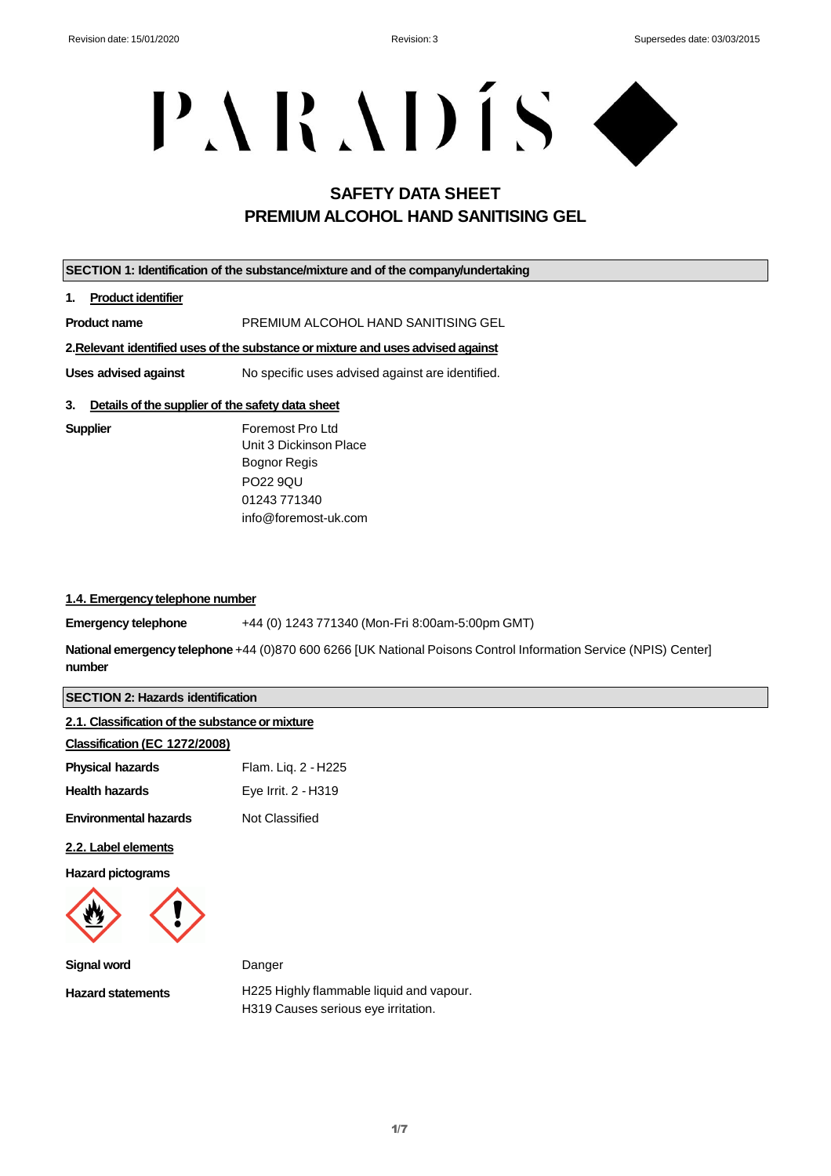# PARADÍS O

# **SAFETY DATA SHEET PREMIUM ALCOHOL HAND SANITISING GEL**

| SECTION 1: Identification of the substance/mixture and of the company/undertaking |                                                                   |  |
|-----------------------------------------------------------------------------------|-------------------------------------------------------------------|--|
| 1.<br><b>Product identifier</b>                                                   |                                                                   |  |
| <b>Product name</b>                                                               | PREMIUM ALCOHOL HAND SANITISING GEL                               |  |
| 2. Relevant identified uses of the substance or mixture and uses advised against  |                                                                   |  |
| Uses advised against<br>No specific uses advised against are identified.          |                                                                   |  |
| 3.<br>Details of the supplier of the safety data sheet                            |                                                                   |  |
| <b>Supplier</b>                                                                   | Foremost Pro Ltd<br>Unit 3 Dickinson Place<br><b>Bognor Regis</b> |  |

PO22 9QU 01243 771340 info@foremost-uk.com

#### **1.4. Emergency telephone number**

**Emergency telephone** +44 (0) 1243 771340 (Mon-Fri 8:00am-5:00pm GMT)

**National emergency telephone** +44 (0)870 600 6266 [UK National Poisons Control Information Service (NPIS) Center] **number**

#### **SECTION 2: Hazards identification**

| 2.1. Classification of the substance or mixture |                     |
|-------------------------------------------------|---------------------|
| Classification (EC 1272/2008)                   |                     |
| <b>Physical hazards</b>                         | Flam. Liq. 2 - H225 |
| <b>Health hazards</b>                           | Eye Irrit. 2 - H319 |
| <b>Environmental hazards</b>                    | Not Classified      |
| 2.2. Label elements                             |                     |
| <b>Hazard pictograms</b>                        |                     |

**Signal word Hazard statements** Danger H225 Highly flammable liquid and vapour. H319 Causes serious eye irritation.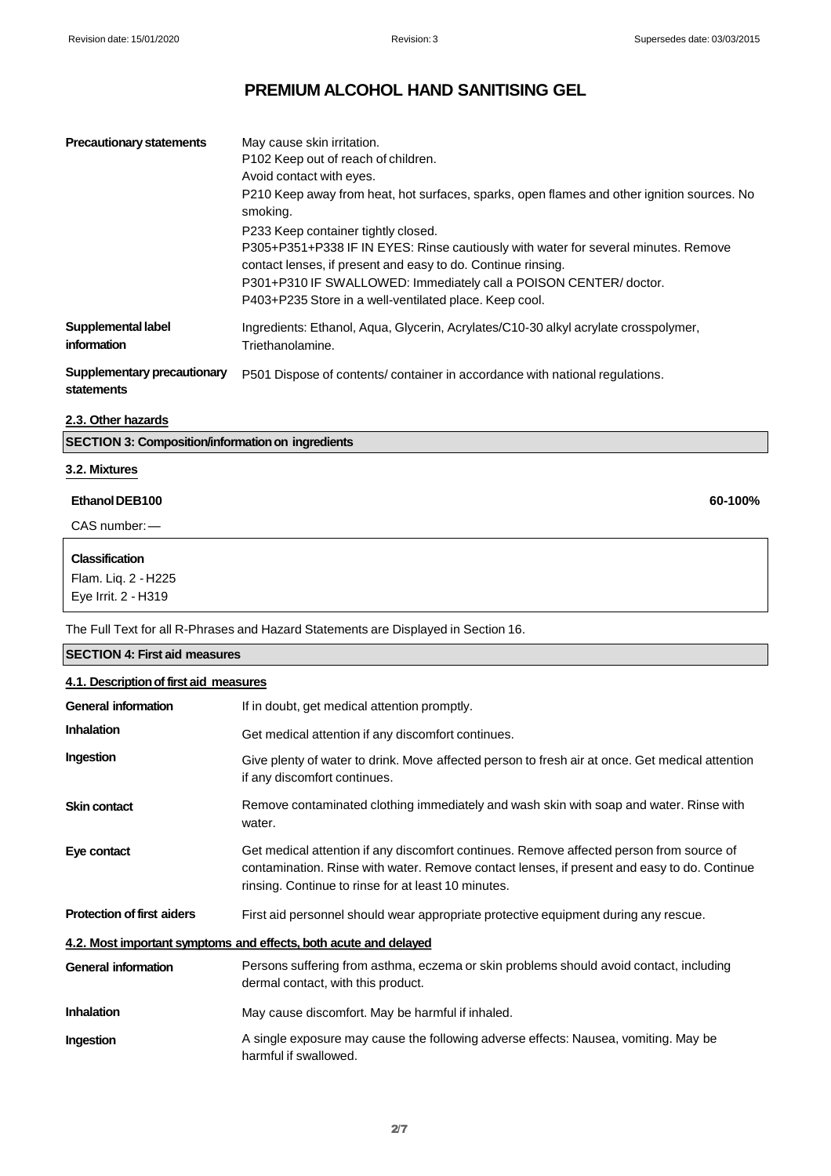| <b>Precautionary statements</b>                  | May cause skin irritation.<br>P102 Keep out of reach of children.<br>Avoid contact with eyes.<br>P210 Keep away from heat, hot surfaces, sparks, open flames and other ignition sources. No<br>smoking.<br>P233 Keep container tightly closed.<br>P305+P351+P338 IF IN EYES: Rinse cautiously with water for several minutes. Remove<br>contact lenses, if present and easy to do. Continue rinsing.<br>P301+P310 IF SWALLOWED: Immediately call a POISON CENTER/doctor.<br>P403+P235 Store in a well-ventilated place. Keep cool. |
|--------------------------------------------------|------------------------------------------------------------------------------------------------------------------------------------------------------------------------------------------------------------------------------------------------------------------------------------------------------------------------------------------------------------------------------------------------------------------------------------------------------------------------------------------------------------------------------------|
| Supplemental label<br>information                | Ingredients: Ethanol, Aqua, Glycerin, Acrylates/C10-30 alkyl acrylate crosspolymer,<br>Triethanolamine.                                                                                                                                                                                                                                                                                                                                                                                                                            |
| <b>Supplementary precautionary</b><br>statements | P501 Dispose of contents/container in accordance with national regulations.                                                                                                                                                                                                                                                                                                                                                                                                                                                        |

### **2.3. Other hazards**

**SECTION 3: Composition/information on ingredients**

#### **3.2. Mixtures**

## **EthanolDEB100 60-100%**

CAS number:—

### **Classification**

Flam. Liq. 2 - H225 Eye Irrit. 2 - H319

The Full Text for all R-Phrases and Hazard Statements are Displayed in Section 16.

| <b>SECTION 4: First aid measures</b> |                                                                                                                                                                                                                                                |  |  |
|--------------------------------------|------------------------------------------------------------------------------------------------------------------------------------------------------------------------------------------------------------------------------------------------|--|--|
|                                      | 4.1. Description of first aid measures                                                                                                                                                                                                         |  |  |
| <b>General information</b>           | If in doubt, get medical attention promptly.                                                                                                                                                                                                   |  |  |
| <b>Inhalation</b>                    | Get medical attention if any discomfort continues.                                                                                                                                                                                             |  |  |
| Ingestion                            | Give plenty of water to drink. Move affected person to fresh air at once. Get medical attention<br>if any discomfort continues.                                                                                                                |  |  |
| <b>Skin contact</b>                  | Remove contaminated clothing immediately and wash skin with soap and water. Rinse with<br>water.                                                                                                                                               |  |  |
| Eye contact                          | Get medical attention if any discomfort continues. Remove affected person from source of<br>contamination. Rinse with water. Remove contact lenses, if present and easy to do. Continue<br>rinsing. Continue to rinse for at least 10 minutes. |  |  |
| <b>Protection of first aiders</b>    | First aid personnel should wear appropriate protective equipment during any rescue.                                                                                                                                                            |  |  |
|                                      | 4.2. Most important symptoms and effects, both acute and delayed                                                                                                                                                                               |  |  |
| <b>General information</b>           | Persons suffering from asthma, eczema or skin problems should avoid contact, including<br>dermal contact, with this product.                                                                                                                   |  |  |
| <b>Inhalation</b>                    | May cause discomfort. May be harmful if inhaled.                                                                                                                                                                                               |  |  |
| Ingestion                            | A single exposure may cause the following adverse effects: Nausea, vomiting. May be<br>harmful if swallowed.                                                                                                                                   |  |  |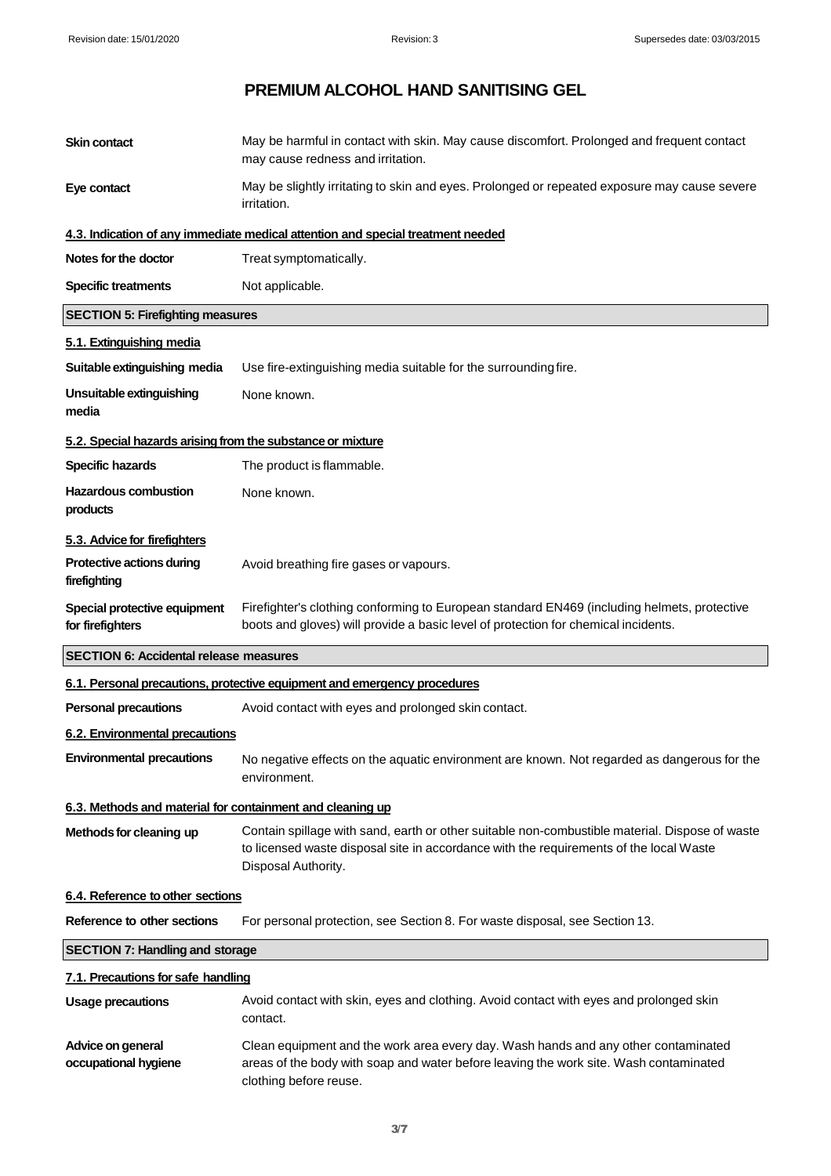| <b>Skin contact</b>                                        | May be harmful in contact with skin. May cause discomfort. Prolonged and frequent contact<br>may cause redness and irritation.                                                                                  |
|------------------------------------------------------------|-----------------------------------------------------------------------------------------------------------------------------------------------------------------------------------------------------------------|
| Eye contact                                                | May be slightly irritating to skin and eyes. Prolonged or repeated exposure may cause severe<br>irritation.                                                                                                     |
|                                                            | 4.3. Indication of any immediate medical attention and special treatment needed                                                                                                                                 |
| Notes for the doctor                                       | Treat symptomatically.                                                                                                                                                                                          |
| <b>Specific treatments</b>                                 | Not applicable.                                                                                                                                                                                                 |
| <b>SECTION 5: Firefighting measures</b>                    |                                                                                                                                                                                                                 |
| 5.1. Extinguishing media                                   |                                                                                                                                                                                                                 |
| Suitable extinguishing media                               | Use fire-extinguishing media suitable for the surrounding fire.                                                                                                                                                 |
| Unsuitable extinguishing<br>media                          | None known.                                                                                                                                                                                                     |
| 5.2. Special hazards arising from the substance or mixture |                                                                                                                                                                                                                 |
| <b>Specific hazards</b>                                    | The product is flammable.                                                                                                                                                                                       |
| <b>Hazardous combustion</b><br>products                    | None known.                                                                                                                                                                                                     |
| 5.3. Advice for firefighters                               |                                                                                                                                                                                                                 |
| Protective actions during<br>firefighting                  | Avoid breathing fire gases or vapours.                                                                                                                                                                          |
| Special protective equipment<br>for firefighters           | Firefighter's clothing conforming to European standard EN469 (including helmets, protective<br>boots and gloves) will provide a basic level of protection for chemical incidents.                               |
| <b>SECTION 6: Accidental release measures</b>              |                                                                                                                                                                                                                 |
|                                                            | 6.1. Personal precautions, protective equipment and emergency procedures                                                                                                                                        |
| <b>Personal precautions</b>                                | Avoid contact with eyes and prolonged skin contact.                                                                                                                                                             |
| 6.2. Environmental precautions                             |                                                                                                                                                                                                                 |
|                                                            | Environmental precautions No negative effects on the aquatic environment are known. Not regarded as dangerous for the<br>environment.                                                                           |
| 6.3. Methods and material for containment and cleaning up  |                                                                                                                                                                                                                 |
| Methods for cleaning up                                    | Contain spillage with sand, earth or other suitable non-combustible material. Dispose of waste<br>to licensed waste disposal site in accordance with the requirements of the local Waste<br>Disposal Authority. |
| 6.4. Reference to other sections                           |                                                                                                                                                                                                                 |
| Reference to other sections                                | For personal protection, see Section 8. For waste disposal, see Section 13.                                                                                                                                     |
| <b>SECTION 7: Handling and storage</b>                     |                                                                                                                                                                                                                 |
| 7.1. Precautions for safe handling                         |                                                                                                                                                                                                                 |
| <b>Usage precautions</b>                                   | Avoid contact with skin, eyes and clothing. Avoid contact with eyes and prolonged skin<br>contact.                                                                                                              |
| Advice on general<br>occupational hygiene                  | Clean equipment and the work area every day. Wash hands and any other contaminated<br>areas of the body with soap and water before leaving the work site. Wash contaminated<br>clothing before reuse.           |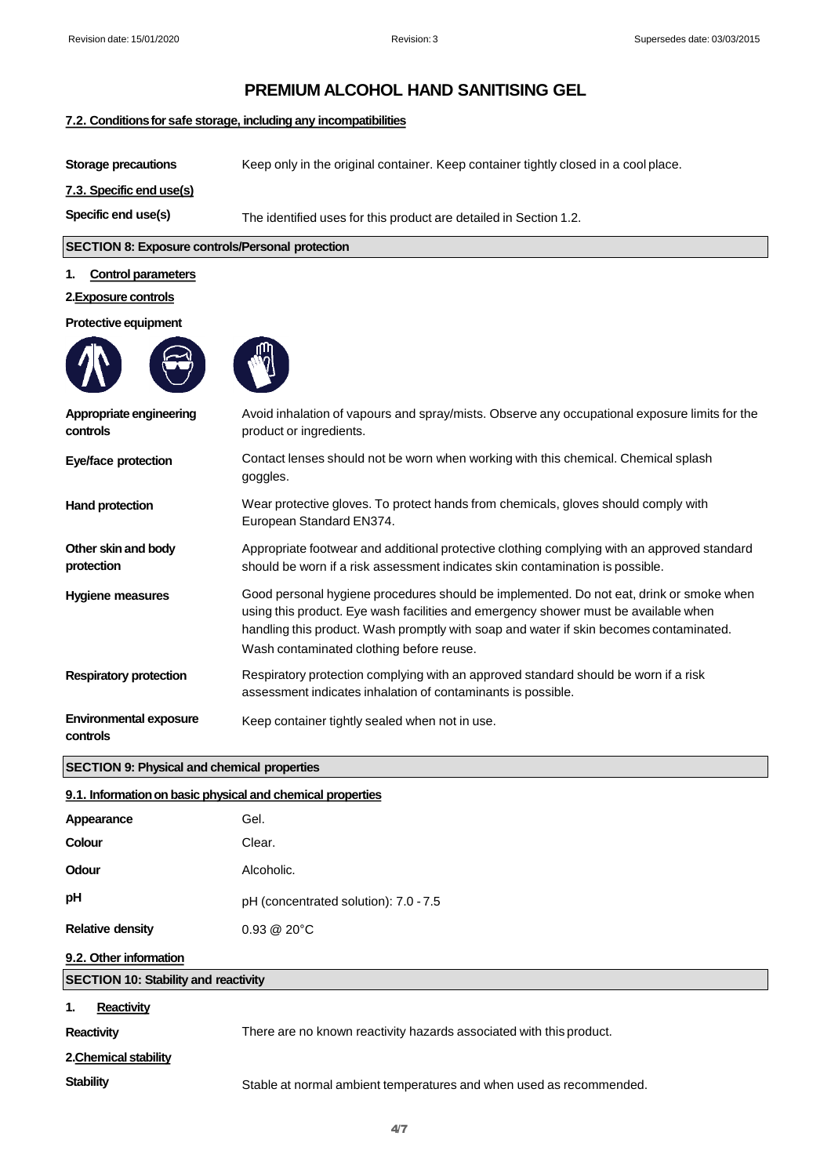#### **7.2. Conditions for safe storage, including any incompatibilities**

**Storage precautions** Keep only in the original container. Keep container tightly closed in a cool place. **7.3. Specific end use(s) Specific end use(s)** The identified uses for this product are detailed in Section 1.2. **SECTION 8: Exposure controls/Personal protection 1. Control parameters**

#### **2.Exposure controls**

#### **Protective equipment**





| Appropriate engineering<br>controls       | Avoid inhalation of vapours and spray/mists. Observe any occupational exposure limits for the<br>product or ingredients.                                                                                                                                                                                             |
|-------------------------------------------|----------------------------------------------------------------------------------------------------------------------------------------------------------------------------------------------------------------------------------------------------------------------------------------------------------------------|
| Eye/face protection                       | Contact lenses should not be worn when working with this chemical. Chemical splash<br>goggles.                                                                                                                                                                                                                       |
| Hand protection                           | Wear protective gloves. To protect hands from chemicals, gloves should comply with<br>European Standard EN374.                                                                                                                                                                                                       |
| Other skin and body<br>protection         | Appropriate footwear and additional protective clothing complying with an approved standard<br>should be worn if a risk assessment indicates skin contamination is possible.                                                                                                                                         |
| <b>Hygiene measures</b>                   | Good personal hygiene procedures should be implemented. Do not eat, drink or smoke when<br>using this product. Eye wash facilities and emergency shower must be available when<br>handling this product. Wash promptly with soap and water if skin becomes contaminated.<br>Wash contaminated clothing before reuse. |
| <b>Respiratory protection</b>             | Respiratory protection complying with an approved standard should be worn if a risk<br>assessment indicates inhalation of contaminants is possible.                                                                                                                                                                  |
| <b>Environmental exposure</b><br>controls | Keep container tightly sealed when not in use.                                                                                                                                                                                                                                                                       |

#### **SECTION 9: Physical and chemical properties**

| 9.1. Information on basic physical and chemical properties |                                                                     |  |
|------------------------------------------------------------|---------------------------------------------------------------------|--|
| Appearance                                                 | Gel.                                                                |  |
| Colour                                                     | Clear.                                                              |  |
| Odour                                                      | Alcoholic.                                                          |  |
| рH                                                         | pH (concentrated solution): 7.0 - 7.5                               |  |
| <b>Relative density</b>                                    | $0.93 \ @ \ 20^{\circ}C$                                            |  |
| 9.2. Other information                                     |                                                                     |  |
| <b>SECTION 10: Stability and reactivity</b>                |                                                                     |  |
| <b>Reactivity</b><br>1.                                    |                                                                     |  |
| <b>Reactivity</b>                                          | There are no known reactivity hazards associated with this product. |  |
| 2. Chemical stability                                      |                                                                     |  |
| <b>Stability</b>                                           | Stable at normal ambient temperatures and when used as recommended. |  |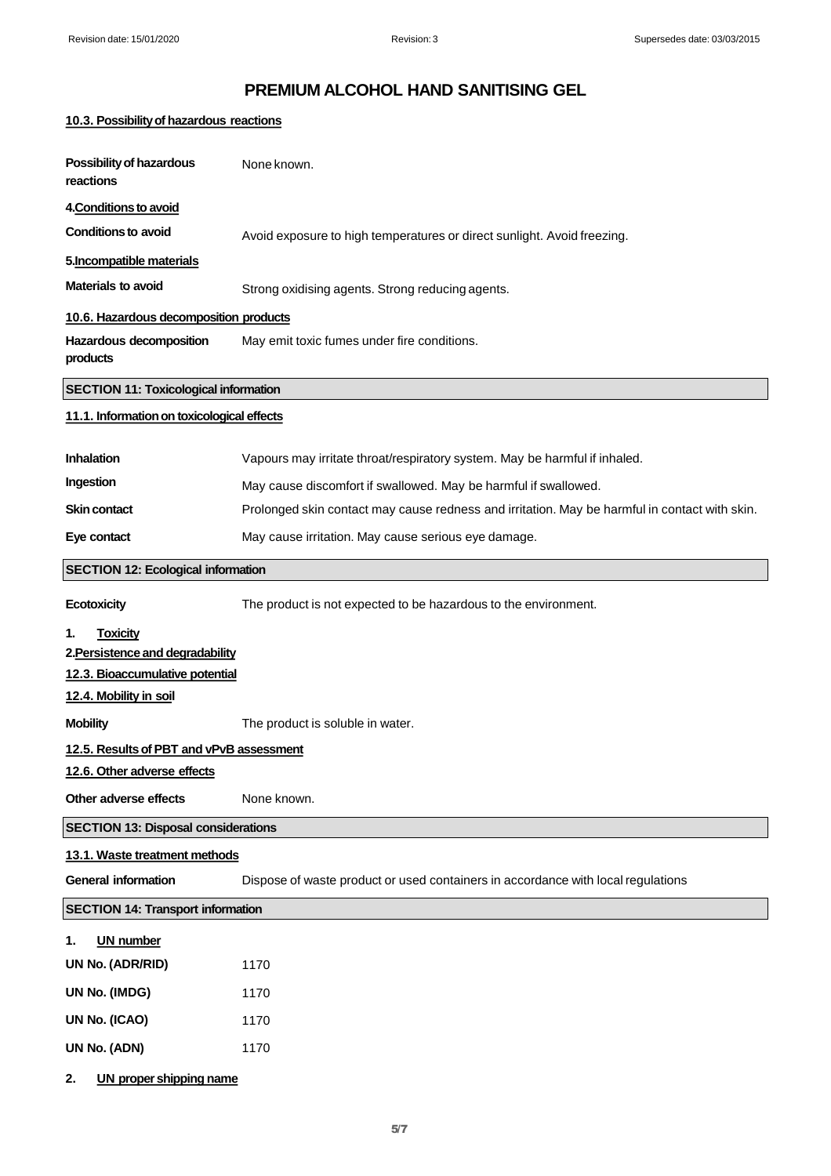## **10.3. Possibility of hazardous reactions**

| Possibility of hazardous<br>reactions        | None known.                                                                                   |
|----------------------------------------------|-----------------------------------------------------------------------------------------------|
| 4. Conditions to avoid                       |                                                                                               |
| <b>Conditions to avoid</b>                   | Avoid exposure to high temperatures or direct sunlight. Avoid freezing.                       |
| 5. Incompatible materials                    |                                                                                               |
| <b>Materials to avoid</b>                    | Strong oxidising agents. Strong reducing agents.                                              |
| 10.6. Hazardous decomposition products       |                                                                                               |
| Hazardous decomposition<br>products          | May emit toxic fumes under fire conditions.                                                   |
| <b>SECTION 11: Toxicological information</b> |                                                                                               |
| 11.1. Information on toxicological effects   |                                                                                               |
| <b>Inhalation</b>                            | Vapours may irritate throat/respiratory system. May be harmful if inhaled.                    |
| Ingestion                                    | May cause discomfort if swallowed. May be harmful if swallowed.                               |
| <b>Skin contact</b>                          | Prolonged skin contact may cause redness and irritation. May be harmful in contact with skin. |
| Eye contact                                  | May cause irritation. May cause serious eye damage.                                           |
| <b>SECTION 12: Ecological information</b>    |                                                                                               |
| <b>Ecotoxicity</b>                           | The product is not expected to be hazardous to the environment.                               |
| <b>Toxicity</b><br>1.                        |                                                                                               |
| 2. Persistence and degradability             |                                                                                               |
| 12.3. Bioaccumulative potential              |                                                                                               |
| 12.4. Mobility in soil                       |                                                                                               |
| <b>Mobility</b>                              | The product is soluble in water.                                                              |
| 12.5. Results of PBT and vPvB assessment     |                                                                                               |
| 12.6. Other adverse effects                  |                                                                                               |
| Other adverse effects                        | None known.                                                                                   |
| <b>SECTION 13: Disposal considerations</b>   |                                                                                               |
| 13.1. Waste treatment methods                |                                                                                               |
| <b>General information</b>                   | Dispose of waste product or used containers in accordance with local regulations              |
| <b>SECTION 14: Transport information</b>     |                                                                                               |
| <b>UN number</b><br>1.                       |                                                                                               |
| UN No. (ADR/RID)                             | 1170                                                                                          |
| UN No. (IMDG)                                | 1170                                                                                          |
| UN No. (ICAO)                                | 1170                                                                                          |
| UN No. (ADN)                                 | 1170                                                                                          |
| <b>UN proper shipping name</b><br>2.         |                                                                                               |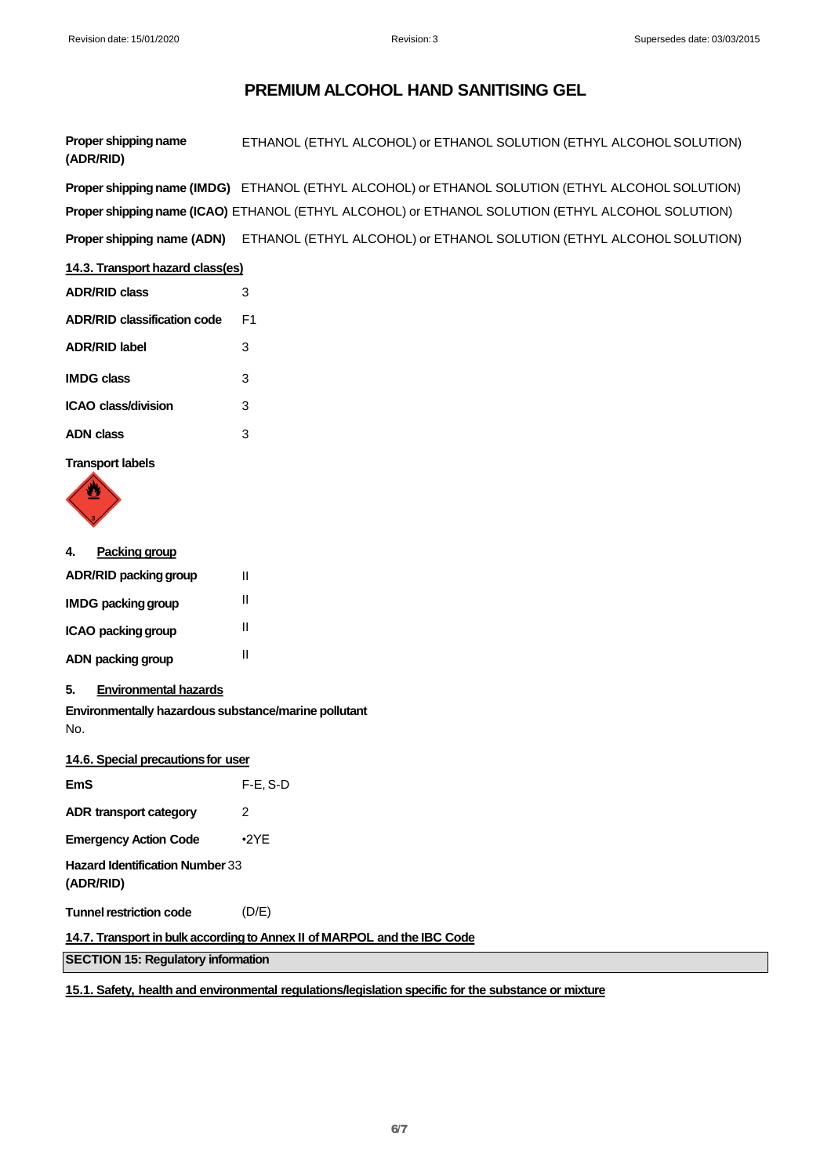**Proper shipping name (ADR/RID)** ETHANOL (ETHYL ALCOHOL) or ETHANOL SOLUTION (ETHYL ALCOHOLSOLUTION)

**Proper shipping name (IMDG)** ETHANOL (ETHYL ALCOHOL) or ETHANOL SOLUTION (ETHYL ALCOHOL SOLUTION) **Proper shipping name (ICAO)** ETHANOL (ETHYL ALCOHOL) or ETHANOL SOLUTION (ETHYL ALCOHOL SOLUTION) **Proper shipping name (ADN)** ETHANOL (ETHYL ALCOHOL) or ETHANOL SOLUTION (ETHYL ALCOHOL SOLUTION)

#### **14.3. Transport hazard class(es)**

| <b>ADR/RID class</b>        | 3  |
|-----------------------------|----|
| ADR/RID classification code | F1 |
| <b>ADR/RID label</b>        | 3  |
| IMDG class                  | 3  |
| ICAO class/division         | 3  |
| ADN class                   | 3  |
|                             |    |

**Transport labels**



| 4. | <b>Packing group</b>         |  |
|----|------------------------------|--|
|    | <b>ADR/RID packing group</b> |  |
|    | <b>IMDG packing group</b>    |  |

| ICAO packing group |  |
|--------------------|--|
| ADN packing group  |  |

**5. Environmental hazards**

**Environmentally hazardous substance/marine pollutant**  No.

II II II II

| 14.6. Special precautions for user                                       |             |  |
|--------------------------------------------------------------------------|-------------|--|
| <b>EmS</b>                                                               | $F-E$ , S-D |  |
| <b>ADR transport category</b>                                            | 2           |  |
| <b>Emergency Action Code</b>                                             | $\cdot$ 2YE |  |
| <b>Hazard Identification Number 33</b><br>(ADR/RID)                      |             |  |
| <b>Tunnel restriction code</b>                                           | (D/E)       |  |
| 14.7. Transport in bulk according to Annex II of MARPOL and the IBC Code |             |  |
| <b>SECTION 15: Regulatory information</b>                                |             |  |
|                                                                          |             |  |

### **15.1. Safety, health and environmental regulations/legislation specific for the substance or mixture**